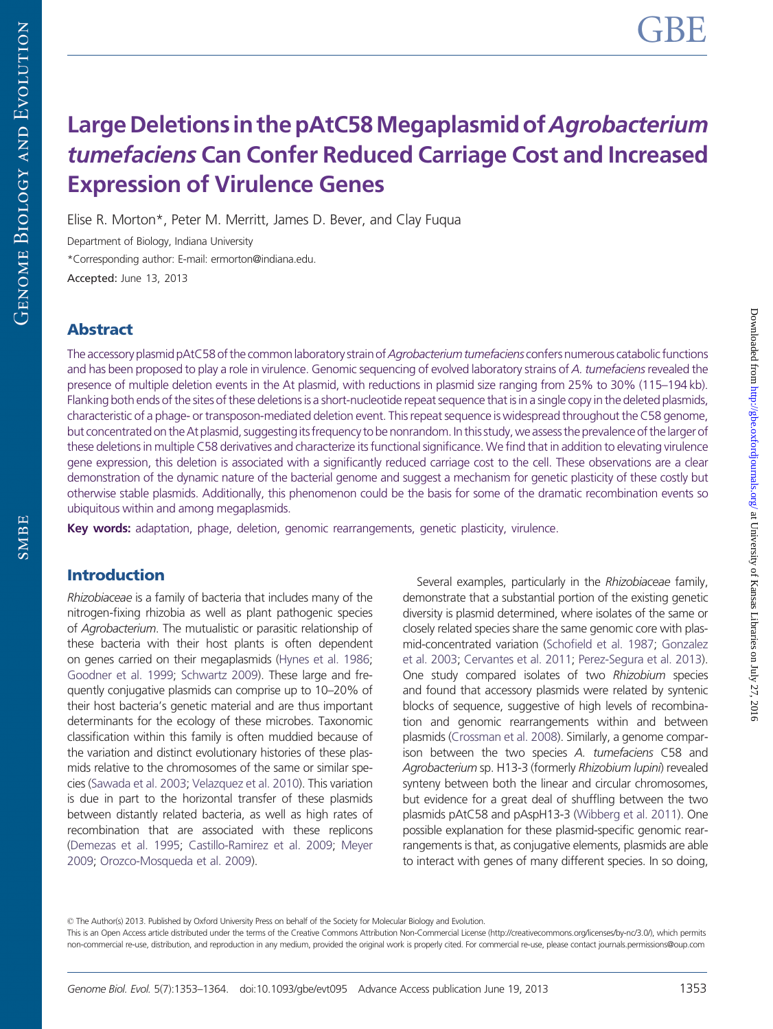# Large Deletions in the pAtC58 Megaplasmid of Agrobacterium tumefaciens Can Confer Reduced Carriage Cost and Increased Expression of Virulence Genes

Elise R. Morton\*, Peter M. Merritt, James D. Bever, and Clay Fuqua

Department of Biology, Indiana University \*Corresponding author: E-mail: ermorton@indiana.edu. Accepted: June 13, 2013

## Abstract

The accessory plasmid pAtC58 of the common laboratory strain of Agrobacterium tumefaciens confers numerous catabolic functions and has been proposed to play a role in virulence. Genomic sequencing of evolved laboratory strains of A. tumefaciens revealed the presence of multiple deletion events in the At plasmid, with reductions in plasmid size ranging from 25% to 30% (115–194 kb). Flanking both ends of the sites of these deletions is a short-nucleotide repeat sequence that is in a single copy in the deleted plasmids, characteristic of a phage- or transposon-mediated deletion event. This repeat sequence is widespread throughout the C58 genome, but concentrated on the At plasmid, suggesting its frequency to be nonrandom. In this study, we assess the prevalence of the larger of these deletions in multiple C58 derivatives and characterize its functional significance. We find that in addition to elevating virulence gene expression, this deletion is associated with a significantly reduced carriage cost to the cell. These observations are a clear demonstration of the dynamic nature of the bacterial genome and suggest a mechanism for genetic plasticity of these costly but otherwise stable plasmids. Additionally, this phenomenon could be the basis for some of the dramatic recombination events so ubiquitous within and among megaplasmids.

Key words: adaptation, phage, deletion, genomic rearrangements, genetic plasticity, virulence.

## Introduction

Rhizobiaceae is a family of bacteria that includes many of the nitrogen-fixing rhizobia as well as plant pathogenic species of Agrobacterium. The mutualistic or parasitic relationship of these bacteria with their host plants is often dependent on genes carried on their megaplasmids [\(Hynes et al. 1986;](#page-11-0) [Goodner et al. 1999](#page-10-0); [Schwartz 2009\)](#page-11-0). These large and frequently conjugative plasmids can comprise up to 10–20% of their host bacteria's genetic material and are thus important determinants for the ecology of these microbes. Taxonomic classification within this family is often muddied because of the variation and distinct evolutionary histories of these plasmids relative to the chromosomes of the same or similar species [\(Sawada et al. 2003;](#page-11-0) [Velazquez et al. 2010](#page-11-0)). This variation is due in part to the horizontal transfer of these plasmids between distantly related bacteria, as well as high rates of recombination that are associated with these replicons [\(Demezas et al. 1995;](#page-10-0) [Castillo-Ramirez et al. 2009](#page-10-0); [Meyer](#page-11-0) [2009;](#page-11-0) [Orozco-Mosqueda et al. 2009\)](#page-11-0).

Several examples, particularly in the Rhizobiaceae family, demonstrate that a substantial portion of the existing genetic diversity is plasmid determined, where isolates of the same or closely related species share the same genomic core with plasmid-concentrated variation [\(Schofield et al. 1987;](#page-11-0) [Gonzalez](#page-10-0) [et al. 2003](#page-10-0); [Cervantes et al. 2011;](#page-10-0) [Perez-Segura et al. 2013\)](#page-11-0). One study compared isolates of two Rhizobium species and found that accessory plasmids were related by syntenic blocks of sequence, suggestive of high levels of recombination and genomic rearrangements within and between plasmids [\(Crossman et al. 2008](#page-10-0)). Similarly, a genome comparison between the two species A. tumefaciens C58 and Agrobacterium sp. H13-3 (formerly Rhizobium lupini) revealed synteny between both the linear and circular chromosomes, but evidence for a great deal of shuffling between the two plasmids pAtC58 and pAspH13-3 ([Wibberg et al. 2011](#page-11-0)). One possible explanation for these plasmid-specific genomic rearrangements is that, as conjugative elements, plasmids are able to interact with genes of many different species. In so doing,

© The Author(s) 2013. Published by Oxford University Press on behalf of the Society for Molecular Biology and Evolution.

This is an Open Access article distributed under the terms of the Creative Commons Attribution Non-Commercial License (http://creativecommons.org/licenses/by-nc/3.0/), which permits non-commercial re-use, distribution, and reproduction in any medium, provided the original work is properly cited. For commercial re-use, please contact journals.permissions@oup.com

SMBE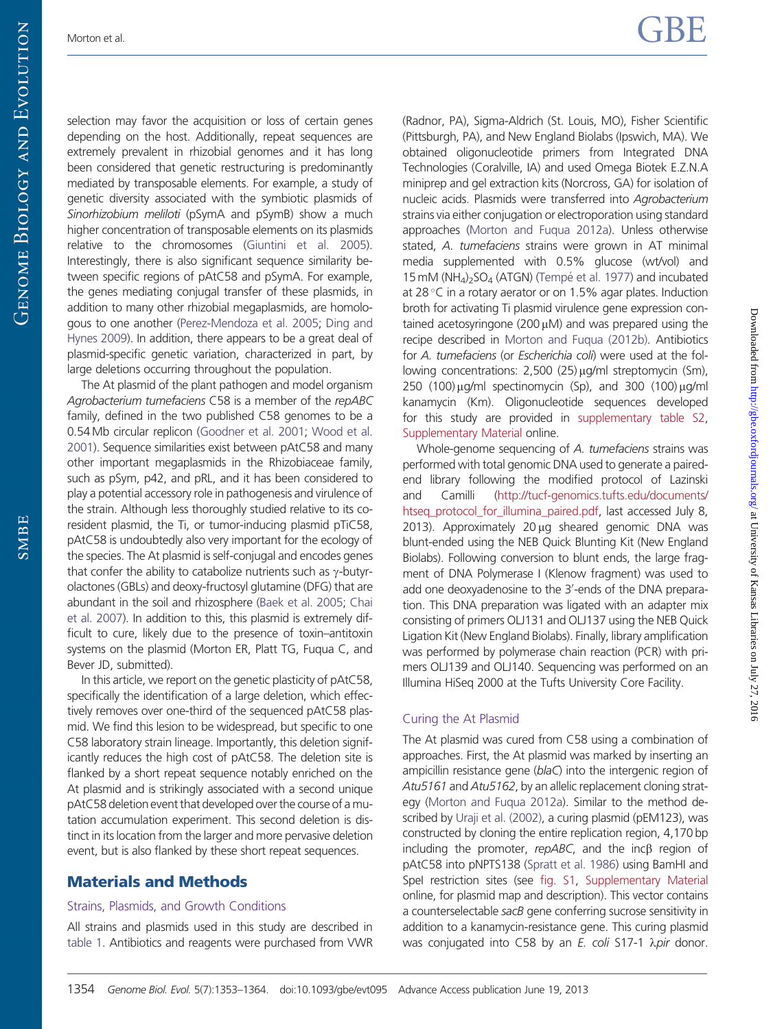Downloaded from <http://gbe.oxfordjournals.org/> at University of Kansas Libraries on July 27, 2016

Downloaded from http://gbe.oxfordjournals.org/ at University of Kansas Libraries on July 27, 2016

selection may favor the acquisition or loss of certain genes depending on the host. Additionally, repeat sequences are extremely prevalent in rhizobial genomes and it has long been considered that genetic restructuring is predominantly mediated by transposable elements. For example, a study of genetic diversity associated with the symbiotic plasmids of Sinorhizobium meliloti (pSymA and pSymB) show a much higher concentration of transposable elements on its plasmids relative to the chromosomes [\(Giuntini et al. 2005](#page-10-0)). Interestingly, there is also significant sequence similarity between specific regions of pAtC58 and pSymA. For example, the genes mediating conjugal transfer of these plasmids, in addition to many other rhizobial megaplasmids, are homologous to one another [\(Perez-Mendoza et al. 2005](#page-11-0); [Ding and](#page-10-0) [Hynes 2009\)](#page-10-0). In addition, there appears to be a great deal of plasmid-specific genetic variation, characterized in part, by large deletions occurring throughout the population.

The At plasmid of the plant pathogen and model organism Agrobacterium tumefaciens C58 is a member of the repABC family, defined in the two published C58 genomes to be a 0.54 Mb circular replicon [\(Goodner et al. 2001;](#page-10-0) [Wood et al.](#page-11-0) [2001\)](#page-11-0). Sequence similarities exist between pAtC58 and many other important megaplasmids in the Rhizobiaceae family, such as pSym, p42, and pRL, and it has been considered to play a potential accessory role in pathogenesis and virulence of the strain. Although less thoroughly studied relative to its coresident plasmid, the Ti, or tumor-inducing plasmid pTiC58, pAtC58 is undoubtedly also very important for the ecology of the species. The At plasmid is self-conjugal and encodes genes that confer the ability to catabolize nutrients such as  $\gamma$ -butyrolactones (GBLs) and deoxy-fructosyl glutamine (DFG) that are abundant in the soil and rhizosphere [\(Baek et al. 2005](#page-10-0); [Chai](#page-10-0) [et al. 2007](#page-10-0)). In addition to this, this plasmid is extremely difficult to cure, likely due to the presence of toxin–antitoxin systems on the plasmid (Morton ER, Platt TG, Fuqua C, and Bever JD, submitted).

In this article, we report on the genetic plasticity of pAtC58, specifically the identification of a large deletion, which effectively removes over one-third of the sequenced pAtC58 plasmid. We find this lesion to be widespread, but specific to one C58 laboratory strain lineage. Importantly, this deletion significantly reduces the high cost of pAtC58. The deletion site is flanked by a short repeat sequence notably enriched on the At plasmid and is strikingly associated with a second unique pAtC58 deletion event that developed over the course of a mutation accumulation experiment. This second deletion is distinct in its location from the larger and more pervasive deletion event, but is also flanked by these short repeat sequences.

## Materials and Methods

#### Strains, Plasmids, and Growth Conditions

All strains and plasmids used in this study are described in [table 1.](#page-5-0) Antibiotics and reagents were purchased from VWR (Radnor, PA), Sigma-Aldrich (St. Louis, MO), Fisher Scientific (Pittsburgh, PA), and New England Biolabs (Ipswich, MA). We obtained oligonucleotide primers from Integrated DNA Technologies (Coralville, IA) and used Omega Biotek E.Z.N.A miniprep and gel extraction kits (Norcross, GA) for isolation of nucleic acids. Plasmids were transferred into Agrobacterium strains via either conjugation or electroporation using standard approaches [\(Morton and Fuqua 2012a\)](#page-11-0). Unless otherwise stated, A. tumefaciens strains were grown in AT minimal media supplemented with 0.5% glucose (wt/vol) and 15 mM ( $NH<sub>4</sub>$ )<sub>2</sub>SO<sub>4</sub> (ATGN) (Tempé [et al. 1977\)](#page-11-0) and incubated at 28 °C in a rotary aerator or on 1.5% agar plates. Induction broth for activating Ti plasmid virulence gene expression contained acetosyringone (200  $\mu$ M) and was prepared using the recipe described in [Morton and Fuqua \(2012b\).](#page-11-0) Antibiotics for A. tumefaciens (or Escherichia coli) were used at the following concentrations:  $2,500$  (25)  $\mu$ g/ml streptomycin (Sm), 250 (100)  $\mu$ g/ml spectinomycin (Sp), and 300 (100)  $\mu$ g/ml kanamycin (Km). Oligonucleotide sequences developed for this study are provided in [supplementary table S2](http://gbe.oxfordjournals.org/lookup/suppl/doi:10.1093/gbe/evt095/-/DC1), [Supplementary Material](http://gbe.oxfordjournals.org/lookup/suppl/doi:10.1093/gbe/evt095/-/DC1) online.

Whole-genome sequencing of A. tumefaciens strains was performed with total genomic DNA used to generate a pairedend library following the modified protocol of Lazinski and Camilli [\(http://tucf-genomics.tufts.edu/documents/](http://tucf-genomics.tufts.edu/documents/htseq_protocol_for_illumina_paired.pdf) [htseq\\_protocol\\_for\\_illumina\\_paired.pdf](http://tucf-genomics.tufts.edu/documents/htseq_protocol_for_illumina_paired.pdf), last accessed July 8, 2013). Approximately  $20 \mu$ g sheared genomic DNA was blunt-ended using the NEB Quick Blunting Kit (New England Biolabs). Following conversion to blunt ends, the large fragment of DNA Polymerase I (Klenow fragment) was used to add one deoxyadenosine to the 3'-ends of the DNA preparation. This DNA preparation was ligated with an adapter mix consisting of primers OLJ131 and OLJ137 using the NEB Quick Ligation Kit (New England Biolabs). Finally, library amplification was performed by polymerase chain reaction (PCR) with primers OLJ139 and OLJ140. Sequencing was performed on an Illumina HiSeq 2000 at the Tufts University Core Facility.

#### Curing the At Plasmid

The At plasmid was cured from C58 using a combination of approaches. First, the At plasmid was marked by inserting an ampicillin resistance gene (blaC) into the intergenic region of Atu5161 and Atu5162, by an allelic replacement cloning strategy [\(Morton and Fuqua 2012a](#page-11-0)). Similar to the method described by [Uraji et al. \(2002\)](#page-11-0), a curing plasmid (pEM123), was constructed by cloning the entire replication region, 4,170 bp including the promoter,  $repABC$ , and the inc $\beta$  region of pAtC58 into pNPTS138 [\(Spratt et al. 1986](#page-11-0)) using BamHI and Spel restriction sites (see [fig. S1,](http://gbe.oxfordjournals.org/lookup/suppl/doi:10.1093/gbe/evt095/-/DC1) [Supplementary Material](http://gbe.oxfordjournals.org/lookup/suppl/doi:10.1093/gbe/evt095/-/DC1) online, for plasmid map and description). This vector contains a counterselectable sacB gene conferring sucrose sensitivity in addition to a kanamycin-resistance gene. This curing plasmid was conjugated into C58 by an  $E$ . coli S17-1  $\lambda$ pir donor.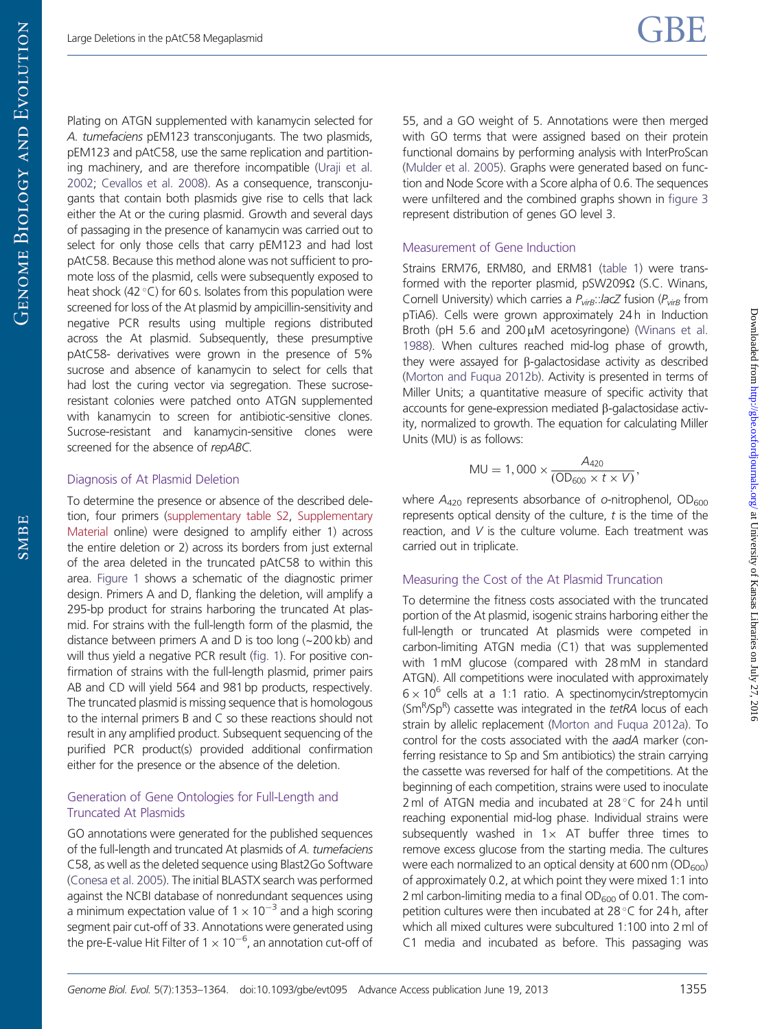Plating on ATGN supplemented with kanamycin selected for A. tumefaciens pEM123 transconjugants. The two plasmids, pEM123 and pAtC58, use the same replication and partitioning machinery, and are therefore incompatible [\(Uraji et al.](#page-11-0) [2002;](#page-11-0) [Cevallos et al. 2008](#page-10-0)). As a consequence, transconjugants that contain both plasmids give rise to cells that lack either the At or the curing plasmid. Growth and several days of passaging in the presence of kanamycin was carried out to select for only those cells that carry pEM123 and had lost pAtC58. Because this method alone was not sufficient to promote loss of the plasmid, cells were subsequently exposed to

heat shock (42 $^{\circ}$ C) for 60 s. Isolates from this population were screened for loss of the At plasmid by ampicillin-sensitivity and negative PCR results using multiple regions distributed across the At plasmid. Subsequently, these presumptive pAtC58- derivatives were grown in the presence of 5% sucrose and absence of kanamycin to select for cells that had lost the curing vector via segregation. These sucroseresistant colonies were patched onto ATGN supplemented with kanamycin to screen for antibiotic-sensitive clones. Sucrose-resistant and kanamycin-sensitive clones were screened for the absence of repABC.

#### Diagnosis of At Plasmid Deletion

To determine the presence or absence of the described deletion, four primers [\(supplementary table S2,](http://gbe.oxfordjournals.org/lookup/suppl/doi:10.1093/gbe/evt095/-/DC1) [Supplementary](http://gbe.oxfordjournals.org/lookup/suppl/doi:10.1093/gbe/evt095/-/DC1) [Material](http://gbe.oxfordjournals.org/lookup/suppl/doi:10.1093/gbe/evt095/-/DC1) online) were designed to amplify either 1) across the entire deletion or 2) across its borders from just external of the area deleted in the truncated pAtC58 to within this area. [Figure 1](#page-4-0) shows a schematic of the diagnostic primer design. Primers A and D, flanking the deletion, will amplify a 295-bp product for strains harboring the truncated At plasmid. For strains with the full-length form of the plasmid, the distance between primers A and D is too long (~200 kb) and will thus yield a negative PCR result [\(fig. 1\)](#page-4-0). For positive confirmation of strains with the full-length plasmid, primer pairs AB and CD will yield 564 and 981 bp products, respectively. The truncated plasmid is missing sequence that is homologous to the internal primers B and C so these reactions should not result in any amplified product. Subsequent sequencing of the purified PCR product(s) provided additional confirmation either for the presence or the absence of the deletion.

#### Generation of Gene Ontologies for Full-Length and Truncated At Plasmids

GO annotations were generated for the published sequences of the full-length and truncated At plasmids of A. tumefaciens C58, as well as the deleted sequence using Blast2Go Software [\(Conesa et al. 2005\)](#page-10-0). The initial BLASTX search was performed against the NCBI database of nonredundant sequences using a minimum expectation value of  $1 \times 10^{-3}$  and a high scoring segment pair cut-off of 33. Annotations were generated using the pre-E-value Hit Filter of  $1 \times 10^{-6}$ , an annotation cut-off of

55, and a GO weight of 5. Annotations were then merged with GO terms that were assigned based on their protein functional domains by performing analysis with InterProScan ([Mulder et al. 2005](#page-11-0)). Graphs were generated based on function and Node Score with a Score alpha of 0.6. The sequences were unfiltered and the combined graphs shown in [figure 3](#page-6-0) represent distribution of genes GO level 3.

#### Measurement of Gene Induction

Strains ERM76, ERM80, and ERM81 [\(table 1\)](#page-5-0) were transformed with the reporter plasmid,  $pSW209\Omega$  (S.C. Winans, Cornell University) which carries a  $P_{virB}$ ::lacZ fusion ( $P_{virB}$  from pTiA6). Cells were grown approximately 24 h in Induction Broth (pH 5.6 and  $200 \mu$ M acetosyringone) ([Winans et al.](#page-11-0) [1988](#page-11-0)). When cultures reached mid-log phase of growth, they were assayed for  $\beta$ -galactosidase activity as described ([Morton and Fuqua 2012b\)](#page-11-0). Activity is presented in terms of Miller Units; a quantitative measure of specific activity that accounts for gene-expression mediated  $\beta$ -galactosidase activity, normalized to growth. The equation for calculating Miller Units (MU) is as follows:

$$
MU = 1,000 \times \frac{A_{420}}{(OD_{600} \times t \times V)},
$$

where  $A_{420}$  represents absorbance of o-nitrophenol, OD<sub>600</sub> represents optical density of the culture,  $t$  is the time of the reaction, and V is the culture volume. Each treatment was carried out in triplicate.

#### Measuring the Cost of the At Plasmid Truncation

To determine the fitness costs associated with the truncated portion of the At plasmid, isogenic strains harboring either the full-length or truncated At plasmids were competed in carbon-limiting ATGN media (C1) that was supplemented with 1 mM glucose (compared with 28 mM in standard ATGN). All competitions were inoculated with approximately  $6 \times 10^6$  cells at a 1:1 ratio. A spectinomycin/streptomycin  $(Sm<sup>R</sup>/Sp<sup>R</sup>)$  cassette was integrated in the tetRA locus of each strain by allelic replacement [\(Morton and Fuqua 2012a\)](#page-11-0). To control for the costs associated with the aadA marker (conferring resistance to Sp and Sm antibiotics) the strain carrying the cassette was reversed for half of the competitions. At the beginning of each competition, strains were used to inoculate 2 ml of ATGN media and incubated at 28°C for 24h until reaching exponential mid-log phase. Individual strains were subsequently washed in  $1 \times$  AT buffer three times to remove excess glucose from the starting media. The cultures were each normalized to an optical density at 600 nm  $OD_{600}$ ) of approximately 0.2, at which point they were mixed 1:1 into 2 ml carbon-limiting media to a final  $OD_{600}$  of 0.01. The competition cultures were then incubated at 28°C for 24h, after which all mixed cultures were subcultured 1:100 into 2 ml of C1 media and incubated as before. This passaging was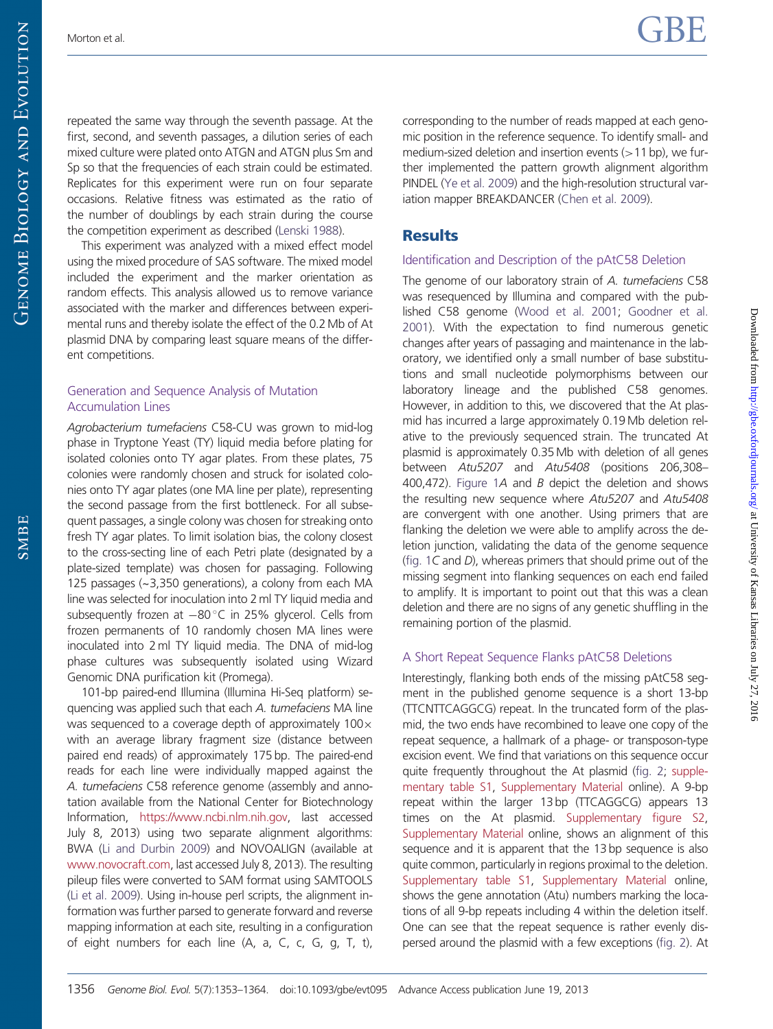repeated the same way through the seventh passage. At the first, second, and seventh passages, a dilution series of each mixed culture were plated onto ATGN and ATGN plus Sm and Sp so that the frequencies of each strain could be estimated. Replicates for this experiment were run on four separate occasions. Relative fitness was estimated as the ratio of the number of doublings by each strain during the course the competition experiment as described ([Lenski 1988](#page-11-0)).

This experiment was analyzed with a mixed effect model using the mixed procedure of SAS software. The mixed model included the experiment and the marker orientation as random effects. This analysis allowed us to remove variance associated with the marker and differences between experimental runs and thereby isolate the effect of the 0.2 Mb of At plasmid DNA by comparing least square means of the different competitions.

### Generation and Sequence Analysis of Mutation Accumulation Lines

Agrobacterium tumefaciens C58-CU was grown to mid-log phase in Tryptone Yeast (TY) liquid media before plating for isolated colonies onto TY agar plates. From these plates, 75 colonies were randomly chosen and struck for isolated colonies onto TY agar plates (one MA line per plate), representing the second passage from the first bottleneck. For all subsequent passages, a single colony was chosen for streaking onto fresh TY agar plates. To limit isolation bias, the colony closest to the cross-secting line of each Petri plate (designated by a plate-sized template) was chosen for passaging. Following 125 passages (~3,350 generations), a colony from each MA line was selected for inoculation into 2 ml TY liquid media and subsequently frozen at  $-80^{\circ}$ C in 25% glycerol. Cells from frozen permanents of 10 randomly chosen MA lines were inoculated into 2 ml TY liquid media. The DNA of mid-log phase cultures was subsequently isolated using Wizard Genomic DNA purification kit (Promega).

101-bp paired-end Illumina (Illumina Hi-Seq platform) sequencing was applied such that each A. tumefaciens MA line was sequenced to a coverage depth of approximately  $100 \times$ with an average library fragment size (distance between paired end reads) of approximately 175 bp. The paired-end reads for each line were individually mapped against the A. tumefaciens C58 reference genome (assembly and annotation available from the National Center for Biotechnology Information, <https://www.ncbi.nlm.nih.gov>, last accessed July 8, 2013) using two separate alignment algorithms: BWA ([Li and Durbin 2009](#page-11-0)) and NOVOALIGN (available at <www.novocraft.com>, last accessed July 8, 2013). The resulting pileup files were converted to SAM format using SAMTOOLS [\(Li et al. 2009\)](#page-11-0). Using in-house perl scripts, the alignment information was further parsed to generate forward and reverse mapping information at each site, resulting in a configuration of eight numbers for each line (A, a, C, c, G, g, T, t), corresponding to the number of reads mapped at each genomic position in the reference sequence. To identify small- and medium-sized deletion and insertion events  $(>11$  bp), we further implemented the pattern growth alignment algorithm PINDEL [\(Ye et al. 2009](#page-11-0)) and the high-resolution structural variation mapper BREAKDANCER ([Chen et al. 2009](#page-10-0)).

## **Results**

### Identification and Description of the pAtC58 Deletion

The genome of our laboratory strain of A. tumefaciens C58 was resequenced by Illumina and compared with the published C58 genome [\(Wood et al. 2001](#page-11-0); [Goodner et al.](#page-10-0) [2001](#page-10-0)). With the expectation to find numerous genetic changes after years of passaging and maintenance in the laboratory, we identified only a small number of base substitutions and small nucleotide polymorphisms between our laboratory lineage and the published C58 genomes. However, in addition to this, we discovered that the At plasmid has incurred a large approximately 0.19 Mb deletion relative to the previously sequenced strain. The truncated At plasmid is approximately 0.35 Mb with deletion of all genes between Atu5207 and Atu5408 (positions 206,308– 400,472). [Figure 1](#page-4-0)A and B depict the deletion and shows the resulting new sequence where Atu5207 and Atu5408 are convergent with one another. Using primers that are flanking the deletion we were able to amplify across the deletion junction, validating the data of the genome sequence ([fig. 1](#page-4-0)C and D), whereas primers that should prime out of the missing segment into flanking sequences on each end failed to amplify. It is important to point out that this was a clean deletion and there are no signs of any genetic shuffling in the remaining portion of the plasmid.

## A Short Repeat Sequence Flanks pAtC58 Deletions

Interestingly, flanking both ends of the missing pAtC58 segment in the published genome sequence is a short 13-bp (TTCNTTCAGGCG) repeat. In the truncated form of the plasmid, the two ends have recombined to leave one copy of the repeat sequence, a hallmark of a phage- or transposon-type excision event. We find that variations on this sequence occur quite frequently throughout the At plasmid [\(fig. 2](#page-5-0); [supple](http://gbe.oxfordjournals.org/lookup/suppl/doi:10.1093/gbe/evt095/-/DC1)[mentary table S1](http://gbe.oxfordjournals.org/lookup/suppl/doi:10.1093/gbe/evt095/-/DC1), [Supplementary Material](http://gbe.oxfordjournals.org/lookup/suppl/doi:10.1093/gbe/evt095/-/DC1) online). A 9-bp repeat within the larger 13 bp (TTCAGGCG) appears 13 times on the At plasmid. [Supplementary figure S2](http://gbe.oxfordjournals.org/lookup/suppl/doi:10.1093/gbe/evt095/-/DC1), [Supplementary Material](http://gbe.oxfordjournals.org/lookup/suppl/doi:10.1093/gbe/evt095/-/DC1) online, shows an alignment of this sequence and it is apparent that the 13 bp sequence is also quite common, particularly in regions proximal to the deletion. [Supplementary table S1](http://gbe.oxfordjournals.org/lookup/suppl/doi:10.1093/gbe/evt095/-/DC1), [Supplementary Material](http://gbe.oxfordjournals.org/lookup/suppl/doi:10.1093/gbe/evt095/-/DC1) online, shows the gene annotation (Atu) numbers marking the locations of all 9-bp repeats including 4 within the deletion itself. One can see that the repeat sequence is rather evenly dispersed around the plasmid with a few exceptions [\(fig. 2\)](#page-5-0). At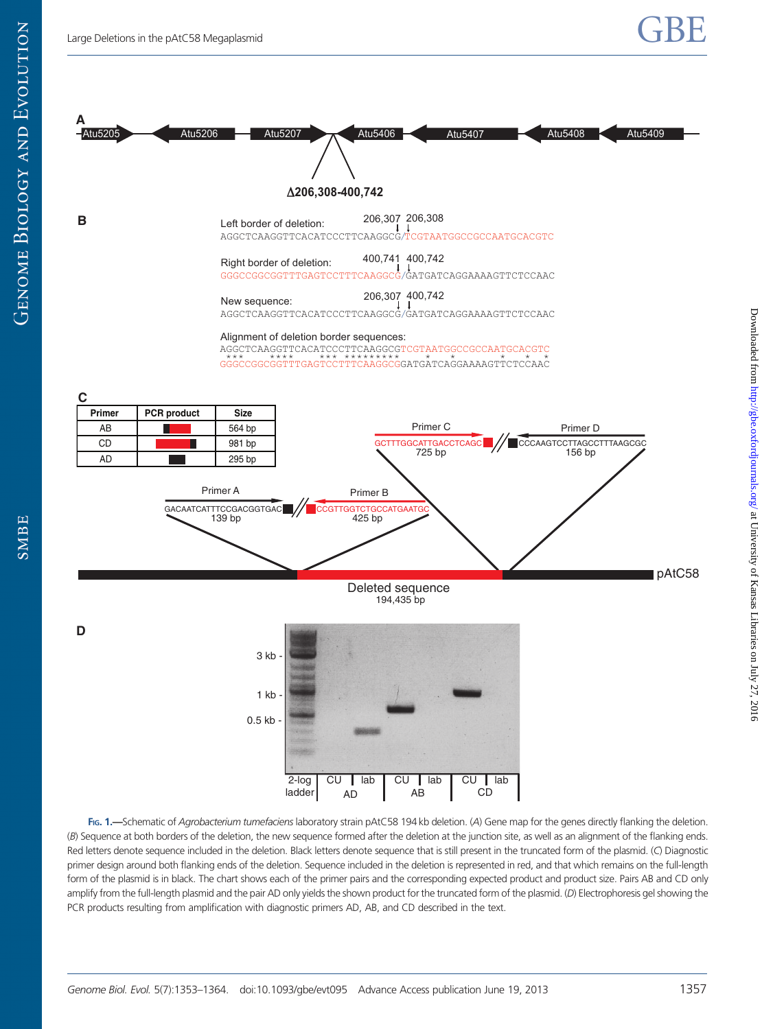<span id="page-4-0"></span>

FIG. 1.—Schematic of Agrobacterium tumefaciens laboratory strain pAtC58 194 kb deletion. (A) Gene map for the genes directly flanking the deletion. (B) Sequence at both borders of the deletion, the new sequence formed after the deletion at the junction site, as well as an alignment of the flanking ends. Red letters denote sequence included in the deletion. Black letters denote sequence that is still present in the truncated form of the plasmid. (C) Diagnostic primer design around both flanking ends of the deletion. Sequence included in the deletion is represented in red, and that which remains on the full-length form of the plasmid is in black. The chart shows each of the primer pairs and the corresponding expected product and product size. Pairs AB and CD only amplify from the full-length plasmid and the pair AD only yields the shown product for the truncated form of the plasmid. (D) Electrophoresis gel showing the PCR products resulting from amplification with diagnostic primers AD, AB, and CD described in the text.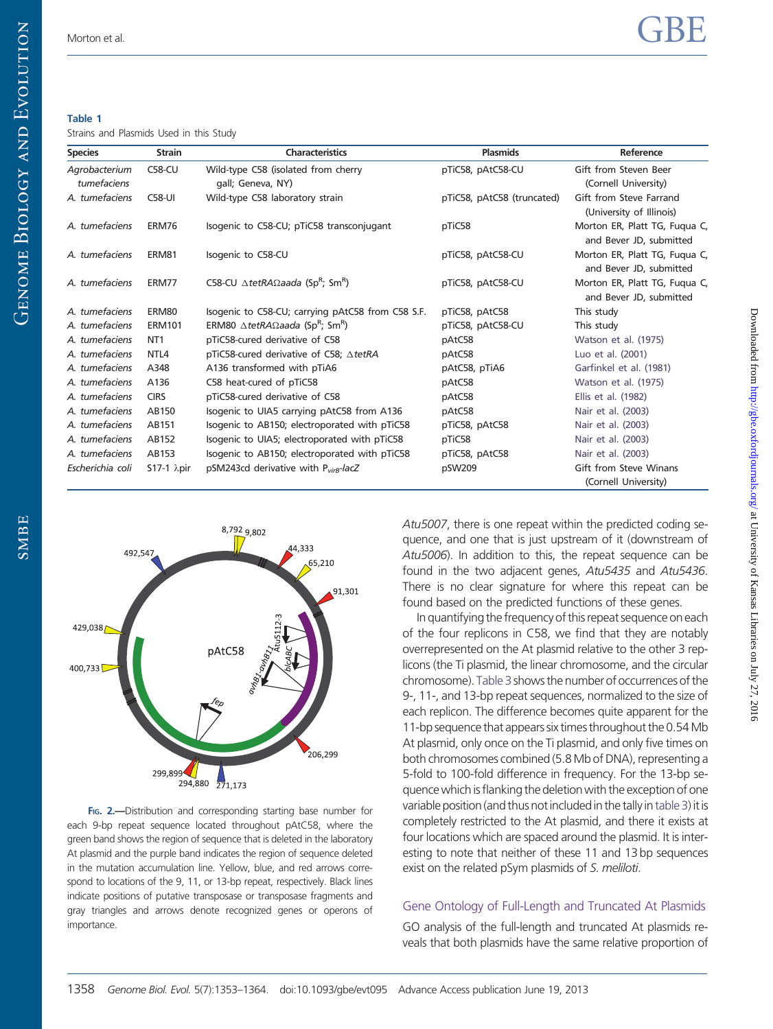Downloaded from <http://gbe.oxfordjournals.org/> at University of Kansas Libraries on July 27, 2016

Downloaded from  $http://gbe.$ oxfordjournals.org/ at University of Kansas Libraries on July 27, 2016

#### <span id="page-5-0"></span>Table 1

Strains and Plasmids Used in this Study

| <b>Species</b>   | <b>Strain</b>         | <b>Characteristics</b>                                                      | <b>Plasmids</b>            | Reference                                                |
|------------------|-----------------------|-----------------------------------------------------------------------------|----------------------------|----------------------------------------------------------|
| Agrobacterium    | $C58-CU$              | Wild-type C58 (isolated from cherry                                         | pTiC58, pAtC58-CU          | Gift from Steven Beer                                    |
| tumefaciens      |                       | gall; Geneva, NY)                                                           |                            | (Cornell University)                                     |
| A. tumefaciens   | <b>C58-UI</b>         | Wild-type C58 laboratory strain                                             | pTiC58, pAtC58 (truncated) | Gift from Steve Farrand<br>(University of Illinois)      |
| A. tumefaciens   | ERM76                 | Isogenic to C58-CU; pTiC58 transconjugant                                   | pTiC58                     | Morton ER, Platt TG, Fuqua C,<br>and Bever JD, submitted |
| A. tumefaciens   | ERM81                 | Isogenic to C58-CU                                                          | pTiC58, pAtC58-CU          | Morton ER, Platt TG, Fuqua C,<br>and Bever JD, submitted |
| A. tumefaciens   | ERM77                 | C58-CU $\triangle$ tetRA $\Omega$ aada (Sp <sup>R</sup> ; Sm <sup>R</sup> ) | pTiC58, pAtC58-CU          | Morton ER, Platt TG, Fuqua C,<br>and Bever JD, submitted |
| A. tumefaciens   | ERM80                 | Isogenic to C58-CU; carrying pAtC58 from C58 S.F.                           | pTiC58, pAtC58             | This study                                               |
| A. tumefaciens   | <b>ERM101</b>         | ERM80 $\triangle$ tetRA $\Omega$ aada (Sp <sup>R</sup> ; Sm <sup>R</sup> )  | pTiC58, pAtC58-CU          | This study                                               |
| A. tumefaciens   | NT <sub>1</sub>       | pTiC58-cured derivative of C58                                              | pAtC58                     | Watson et al. (1975)                                     |
| A. tumefaciens   | NTL <sub>4</sub>      | pTiC58-cured derivative of C58; ∆tetRA                                      | pAtC58                     | Luo et al. (2001)                                        |
| A. tumefaciens   | A348                  | A136 transformed with pTiA6                                                 | pAtC58, pTiA6              | Garfinkel et al. (1981)                                  |
| A. tumefaciens   | A136                  | C58 heat-cured of pTiC58                                                    | pAtC58                     | Watson et al. (1975)                                     |
| A. tumefaciens   | <b>CIRS</b>           | pTiC58-cured derivative of C58                                              | pAtC58                     | Ellis et al. (1982)                                      |
| A. tumefaciens   | AB150                 | Isogenic to UIA5 carrying pAtC58 from A136                                  | pAtC58                     | Nair et al. (2003)                                       |
| A. tumefaciens   | AB151                 | Isogenic to AB150; electroporated with pTiC58                               | pTiC58, pAtC58             | Nair et al. (2003)                                       |
| A. tumefaciens   | AB152                 | Isogenic to UIA5; electroporated with pTiC58                                | pTiC58                     | Nair et al. (2003)                                       |
| A. tumefaciens   | AB153                 | Isogenic to AB150; electroporated with pTiC58                               | pTiC58, pAtC58             | Nair et al. (2003)                                       |
| Escherichia coli | $S17-1$ $\lambda$ pir | pSM243cd derivative with P <sub>virB</sub> -lacZ                            | pSW209                     | Gift from Steve Winans                                   |
|                  |                       |                                                                             |                            | (Cornell University)                                     |



FIG. 2.-Distribution and corresponding starting base number for each 9-bp repeat sequence located throughout pAtC58, where the green band shows the region of sequence that is deleted in the laboratory At plasmid and the purple band indicates the region of sequence deleted in the mutation accumulation line. Yellow, blue, and red arrows correspond to locations of the 9, 11, or 13-bp repeat, respectively. Black lines indicate positions of putative transposase or transposase fragments and gray triangles and arrows denote recognized genes or operons of importance.

Atu5007, there is one repeat within the predicted coding sequence, and one that is just upstream of it (downstream of Atu5006). In addition to this, the repeat sequence can be found in the two adjacent genes, Atu5435 and Atu5436. There is no clear signature for where this repeat can be found based on the predicted functions of these genes.

In quantifying the frequency of this repeat sequence on each of the four replicons in C58, we find that they are notably overrepresented on the At plasmid relative to the other 3 replicons (the Ti plasmid, the linear chromosome, and the circular chromosome). Table 3 shows the number of occurrences of the 9-, 11-, and 13-bp repeat sequences, normalized to the size of each replicon. The difference becomes quite apparent for the 11-bp sequence that appears six times throughout the 0.54 Mb At plasmid, only once on the Ti plasmid, and only five times on both chromosomes combined (5.8 Mb of DNA), representing a 5-fold to 100-fold difference in frequency. For the 13-bp sequence which is flanking the deletion with the exception of one variable position (and thus not included in the tally in table 3) it is completely restricted to the At plasmid, and there it exists at four locations which are spaced around the plasmid. It is interesting to note that neither of these 11 and 13 bp sequences exist on the related pSym plasmids of S. meliloti.

## Gene Ontology of Full-Length and Truncated At Plasmids

GO analysis of the full-length and truncated At plasmids reveals that both plasmids have the same relative proportion of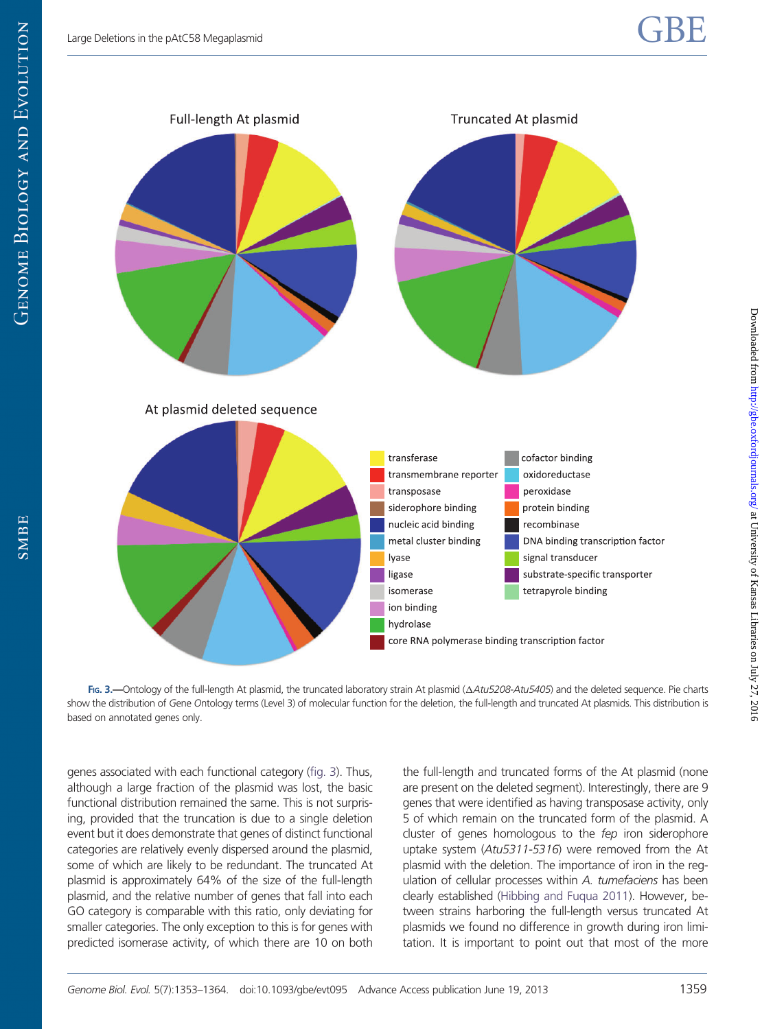<span id="page-6-0"></span>

FIG. 3.—Ontology of the full-length At plasmid, the truncated laboratory strain At plasmid ( $\Delta Atu$ 5208-Atu5405) and the deleted sequence. Pie charts show the distribution of Gene Ontology terms (Level 3) of molecular function for the deletion, the full-length and truncated At plasmids. This distribution is based on annotated genes only.

genes associated with each functional category (fig. 3). Thus, although a large fraction of the plasmid was lost, the basic functional distribution remained the same. This is not surprising, provided that the truncation is due to a single deletion event but it does demonstrate that genes of distinct functional categories are relatively evenly dispersed around the plasmid, some of which are likely to be redundant. The truncated At plasmid is approximately 64% of the size of the full-length plasmid, and the relative number of genes that fall into each GO category is comparable with this ratio, only deviating for smaller categories. The only exception to this is for genes with predicted isomerase activity, of which there are 10 on both the full-length and truncated forms of the At plasmid (none are present on the deleted segment). Interestingly, there are 9 genes that were identified as having transposase activity, only 5 of which remain on the truncated form of the plasmid. A cluster of genes homologous to the fep iron siderophore uptake system (Atu5311-5316) were removed from the At plasmid with the deletion. The importance of iron in the regulation of cellular processes within A. tumefaciens has been clearly established [\(Hibbing and Fuqua 2011\)](#page-11-0). However, between strains harboring the full-length versus truncated At plasmids we found no difference in growth during iron limitation. It is important to point out that most of the more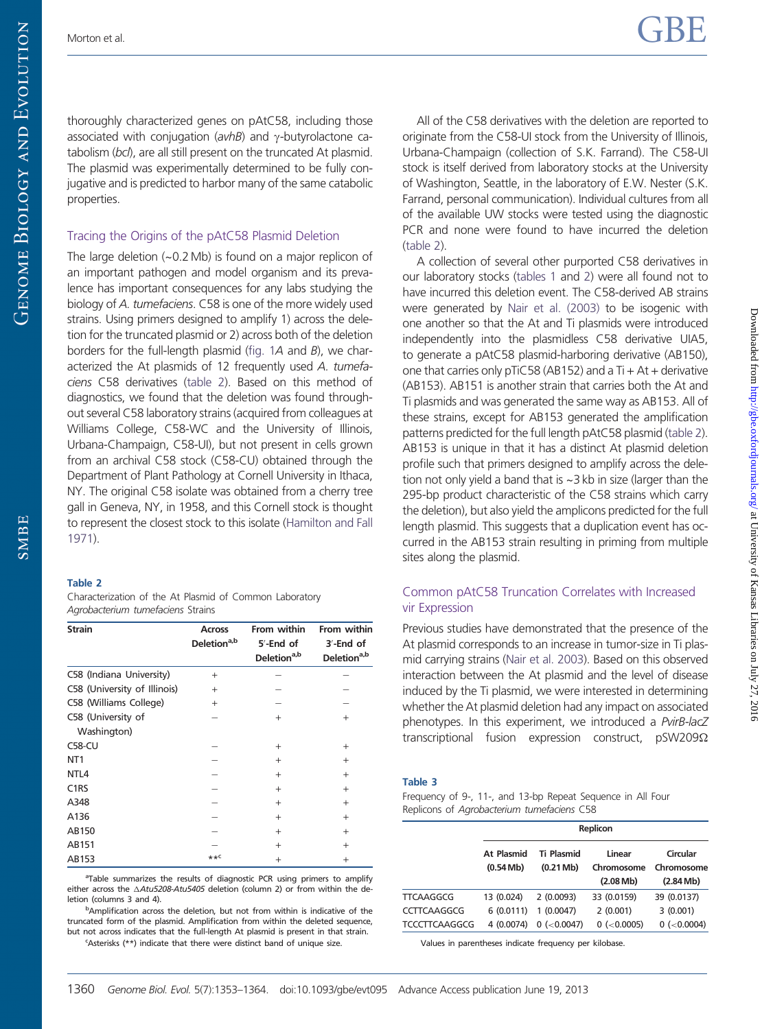<span id="page-7-0"></span>**GENOME BIOLOGY AND EVOLUTION** 

thoroughly characterized genes on pAtC58, including those associated with conjugation ( $avhB$ ) and  $\gamma$ -butyrolactone catabolism (bcl), are all still present on the truncated At plasmid. The plasmid was experimentally determined to be fully conjugative and is predicted to harbor many of the same catabolic properties.

#### Tracing the Origins of the pAtC58 Plasmid Deletion

The large deletion (~0.2 Mb) is found on a major replicon of an important pathogen and model organism and its prevalence has important consequences for any labs studying the biology of A. tumefaciens. C58 is one of the more widely used strains. Using primers designed to amplify 1) across the deletion for the truncated plasmid or 2) across both of the deletion borders for the full-length plasmid ([fig. 1](#page-4-0)A and B), we characterized the At plasmids of 12 frequently used A. tumefaciens C58 derivatives (table 2). Based on this method of diagnostics, we found that the deletion was found throughout several C58 laboratory strains (acquired from colleagues at Williams College, C58-WC and the University of Illinois, Urbana-Champaign, C58-UI), but not present in cells grown from an archival C58 stock (C58-CU) obtained through the Department of Plant Pathology at Cornell University in Ithaca, NY. The original C58 isolate was obtained from a cherry tree gall in Geneva, NY, in 1958, and this Cornell stock is thought to represent the closest stock to this isolate ([Hamilton and Fall](#page-11-0) [1971\)](#page-11-0).

#### Table 2

SMBE

Characterization of the At Plasmid of Common Laboratory Agrobacterium tumefaciens Strains

| <b>Strain</b>                     | <b>Across</b><br>Deletion <sup>a,b</sup> | From within<br>5'-End of<br>Deletion <sup>a,b</sup> | From within<br>$3'$ -End of<br>Deletion <sup>a,b</sup> |
|-----------------------------------|------------------------------------------|-----------------------------------------------------|--------------------------------------------------------|
| C58 (Indiana University)          | $^{+}$                                   |                                                     |                                                        |
| C58 (University of Illinois)      | $^{+}$                                   |                                                     |                                                        |
| C58 (Williams College)            | $^{+}$                                   |                                                     |                                                        |
| C58 (University of<br>Washington) |                                          | $^{+}$                                              | $+$                                                    |
| <b>C58-CU</b>                     |                                          | $^{+}$                                              | $^{+}$                                                 |
| NT <sub>1</sub>                   |                                          | $^{+}$                                              | $^{+}$                                                 |
| NTL <sub>4</sub>                  |                                          | $+$                                                 | $+$                                                    |
| C <sub>1</sub> R <sub>S</sub>     |                                          | $+$                                                 | $+$                                                    |
| A348                              |                                          | $^{+}$                                              | $+$                                                    |
| A136                              |                                          | $^{+}$                                              | $^{+}$                                                 |
| AB150                             |                                          | $^{+}$                                              | $^{+}$                                                 |
| AB151                             |                                          | $^{+}$                                              | $^{+}$                                                 |
| AB153                             | $**C$                                    | $^{+}$                                              | $^{+}$                                                 |

<sup>a</sup>Table summarizes the results of diagnostic PCR using primers to amplify either across the  $\triangle Atu5208-Atu5405$  deletion (column 2) or from within the deletion (columns 3 and 4).

**b**Amplification across the deletion, but not from within is indicative of the truncated form of the plasmid. Amplification from within the deleted sequence, but not across indicates that the full-length At plasmid is present in that strain.

'Asterisks (\*\*) indicate that there were distinct band of unique size.

All of the C58 derivatives with the deletion are reported to originate from the C58-UI stock from the University of Illinois, Urbana-Champaign (collection of S.K. Farrand). The C58-UI stock is itself derived from laboratory stocks at the University of Washington, Seattle, in the laboratory of E.W. Nester (S.K. Farrand, personal communication). Individual cultures from all of the available UW stocks were tested using the diagnostic PCR and none were found to have incurred the deletion (table 2).

A collection of several other purported C58 derivatives in our laboratory stocks [\(tables 1](#page-5-0) and 2) were all found not to have incurred this deletion event. The C58-derived AB strains were generated by [Nair et al. \(2003\)](#page-11-0) to be isogenic with one another so that the At and Ti plasmids were introduced independently into the plasmidless C58 derivative UIA5, to generate a pAtC58 plasmid-harboring derivative (AB150), one that carries only pTiC58 (AB152) and a  $Ti + At +$  derivative (AB153). AB151 is another strain that carries both the At and Ti plasmids and was generated the same way as AB153. All of these strains, except for AB153 generated the amplification patterns predicted for the full length pAtC58 plasmid (table 2). AB153 is unique in that it has a distinct At plasmid deletion profile such that primers designed to amplify across the deletion not only yield a band that is ~3 kb in size (larger than the 295-bp product characteristic of the C58 strains which carry the deletion), but also yield the amplicons predicted for the full length plasmid. This suggests that a duplication event has occurred in the AB153 strain resulting in priming from multiple sites along the plasmid.

#### Common pAtC58 Truncation Correlates with Increased vir Expression

Previous studies have demonstrated that the presence of the At plasmid corresponds to an increase in tumor-size in Ti plasmid carrying strains [\(Nair et al. 2003\)](#page-11-0). Based on this observed interaction between the At plasmid and the level of disease induced by the Ti plasmid, we were interested in determining whether the At plasmid deletion had any impact on associated phenotypes. In this experiment, we introduced a PvirB-lacZ transcriptional fusion expression construct,  $pSW209\Omega$ 

#### Table 3

Frequency of 9-, 11-, and 13-bp Repeat Sequence in All Four Replicons of Agrobacterium tumefaciens C58

| Replicon                            |                                             |                                   |                                               |  |  |
|-------------------------------------|---------------------------------------------|-----------------------------------|-----------------------------------------------|--|--|
| At Plasmid<br>$(0.54 \, \text{Mb})$ | <b>Ti Plasmid</b><br>$(0.21 \,\mathrm{Mb})$ | Linear<br>Chromosome<br>(2.08 Mb) | Circular<br>Chromosome<br>$(2.84 \text{ Mb})$ |  |  |
| 13 (0.024)                          | 2(0.0093)                                   | 33 (0.0159)                       | 39 (0.0137)                                   |  |  |
| 6(0.0111)                           | 1(0.0047)                                   | 2(0.001)                          | 3(0.001)                                      |  |  |
| 4 (0.0074)                          | $0$ (< $0.0047$ )                           | $0$ (< $0.0005$ )                 | $0$ (<0.0004)                                 |  |  |
|                                     |                                             |                                   |                                               |  |  |

Values in parentheses indicate frequency per kilobase.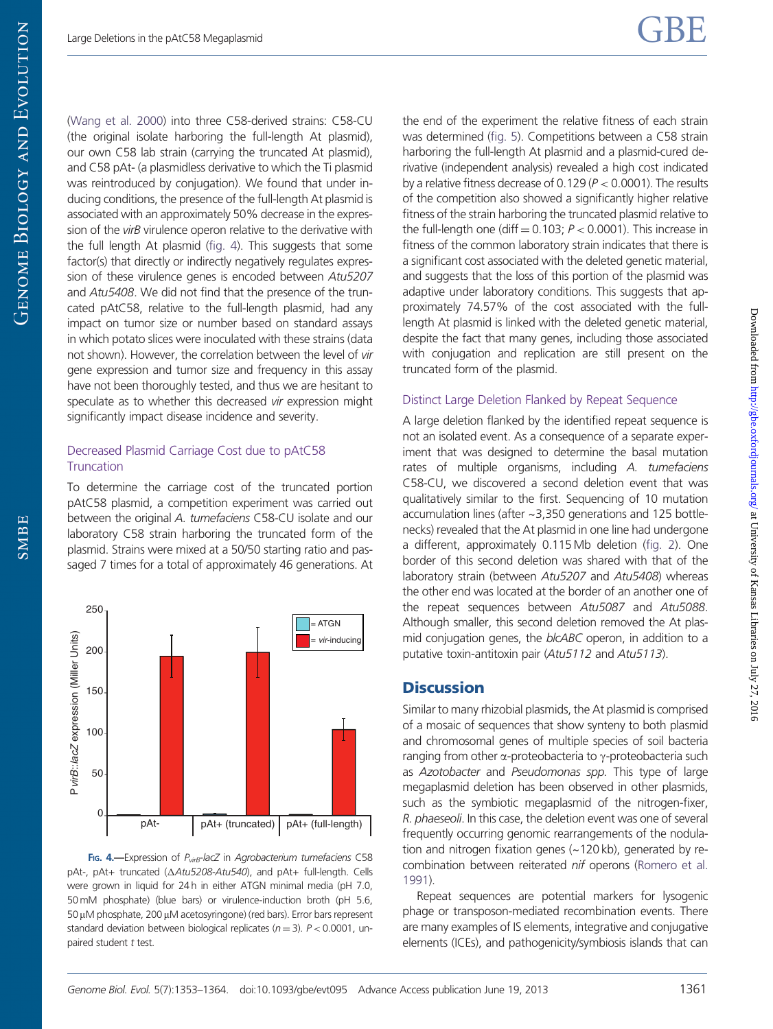[\(Wang et al. 2000\)](#page-11-0) into three C58-derived strains: C58-CU (the original isolate harboring the full-length At plasmid), our own C58 lab strain (carrying the truncated At plasmid), and C58 pAt- (a plasmidless derivative to which the Ti plasmid was reintroduced by conjugation). We found that under inducing conditions, the presence of the full-length At plasmid is associated with an approximately 50% decrease in the expression of the virB virulence operon relative to the derivative with the full length At plasmid (fig. 4). This suggests that some factor(s) that directly or indirectly negatively regulates expression of these virulence genes is encoded between Atu5207 and Atu5408. We did not find that the presence of the truncated pAtC58, relative to the full-length plasmid, had any impact on tumor size or number based on standard assays in which potato slices were inoculated with these strains (data not shown). However, the correlation between the level of vir gene expression and tumor size and frequency in this assay have not been thoroughly tested, and thus we are hesitant to speculate as to whether this decreased vir expression might significantly impact disease incidence and severity.

#### Decreased Plasmid Carriage Cost due to pAtC58 **Truncation**

To determine the carriage cost of the truncated portion pAtC58 plasmid, a competition experiment was carried out between the original A. tumefaciens C58-CU isolate and our laboratory C58 strain harboring the truncated form of the plasmid. Strains were mixed at a 50/50 starting ratio and passaged 7 times for a total of approximately 46 generations. At



FIG. 4.-Expression of  $P_{virB}$ -lacZ in Agrobacterium tumefaciens C58 pAt-, pAt+ truncated ( $\triangle Atu5208$ -Atu540), and pAt+ full-length. Cells were grown in liquid for 24 h in either ATGN minimal media (pH 7.0, 50mM phosphate) (blue bars) or virulence-induction broth (pH 5.6,  $50 \mu$ M phosphate, 200  $\mu$ M acetosyringone) (red bars). Error bars represent standard deviation between biological replicates ( $n = 3$ ). P < 0.0001, unpaired student t test.

the end of the experiment the relative fitness of each strain was determined [\(fig. 5\)](#page-9-0). Competitions between a C58 strain harboring the full-length At plasmid and a plasmid-cured derivative (independent analysis) revealed a high cost indicated by a relative fitness decrease of 0.129 ( $P < 0.0001$ ). The results of the competition also showed a significantly higher relative fitness of the strain harboring the truncated plasmid relative to the full-length one (diff  $= 0.103$ ;  $P < 0.0001$ ). This increase in fitness of the common laboratory strain indicates that there is a significant cost associated with the deleted genetic material, and suggests that the loss of this portion of the plasmid was adaptive under laboratory conditions. This suggests that approximately 74.57% of the cost associated with the fulllength At plasmid is linked with the deleted genetic material, despite the fact that many genes, including those associated with conjugation and replication are still present on the truncated form of the plasmid.

#### Distinct Large Deletion Flanked by Repeat Sequence

A large deletion flanked by the identified repeat sequence is not an isolated event. As a consequence of a separate experiment that was designed to determine the basal mutation rates of multiple organisms, including A. tumefaciens C58-CU, we discovered a second deletion event that was qualitatively similar to the first. Sequencing of 10 mutation accumulation lines (after ~3,350 generations and 125 bottlenecks) revealed that the At plasmid in one line had undergone a different, approximately 0.115 Mb deletion [\(fig. 2](#page-5-0)). One border of this second deletion was shared with that of the laboratory strain (between Atu5207 and Atu5408) whereas the other end was located at the border of an another one of the repeat sequences between Atu5087 and Atu5088. Although smaller, this second deletion removed the At plasmid conjugation genes, the blcABC operon, in addition to a putative toxin-antitoxin pair (Atu5112 and Atu5113).

#### **Discussion**

Similar to many rhizobial plasmids, the At plasmid is comprised of a mosaic of sequences that show synteny to both plasmid and chromosomal genes of multiple species of soil bacteria ranging from other  $\alpha$ -proteobacteria to  $\gamma$ -proteobacteria such as Azotobacter and Pseudomonas spp. This type of large megaplasmid deletion has been observed in other plasmids, such as the symbiotic megaplasmid of the nitrogen-fixer, R. phaeseoli. In this case, the deletion event was one of several frequently occurring genomic rearrangements of the nodulation and nitrogen fixation genes (~120 kb), generated by recombination between reiterated nif operons [\(Romero et al.](#page-11-0) [1991](#page-11-0)).

Repeat sequences are potential markers for lysogenic phage or transposon-mediated recombination events. There are many examples of IS elements, integrative and conjugative elements (ICEs), and pathogenicity/symbiosis islands that can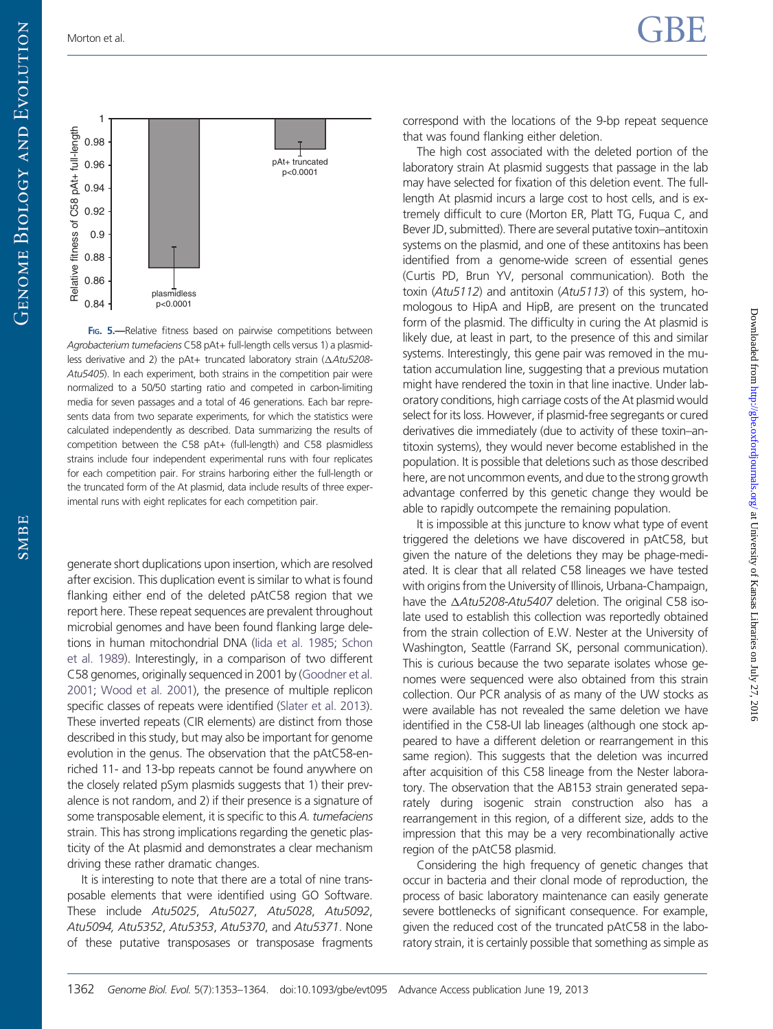<span id="page-9-0"></span>

F<sub>IG</sub>. 5.—Relative fitness based on pairwise competitions between Agrobacterium tumefaciens C58 pAt+ full-length cells versus 1) a plasmidless derivative and 2) the pAt+ truncated laboratory strain ( $\triangle Atu5208$ -Atu5405). In each experiment, both strains in the competition pair were normalized to a 50/50 starting ratio and competed in carbon-limiting media for seven passages and a total of 46 generations. Each bar represents data from two separate experiments, for which the statistics were calculated independently as described. Data summarizing the results of competition between the C58 pAt+ (full-length) and C58 plasmidless strains include four independent experimental runs with four replicates for each competition pair. For strains harboring either the full-length or the truncated form of the At plasmid, data include results of three experimental runs with eight replicates for each competition pair.

generate short duplications upon insertion, which are resolved after excision. This duplication event is similar to what is found flanking either end of the deleted pAtC58 region that we report here. These repeat sequences are prevalent throughout microbial genomes and have been found flanking large deletions in human mitochondrial DNA ([Iida et al. 1985](#page-11-0); [Schon](#page-11-0) [et al. 1989\)](#page-11-0). Interestingly, in a comparison of two different C58 genomes, originally sequenced in 2001 by [\(Goodner et al.](#page-10-0) [2001;](#page-10-0) [Wood et al. 2001\)](#page-11-0), the presence of multiple replicon specific classes of repeats were identified [\(Slater et al. 2013](#page-11-0)). These inverted repeats (CIR elements) are distinct from those described in this study, but may also be important for genome evolution in the genus. The observation that the pAtC58-enriched 11- and 13-bp repeats cannot be found anywhere on the closely related pSym plasmids suggests that 1) their prevalence is not random, and 2) if their presence is a signature of some transposable element, it is specific to this A. tumefaciens strain. This has strong implications regarding the genetic plasticity of the At plasmid and demonstrates a clear mechanism driving these rather dramatic changes.

It is interesting to note that there are a total of nine transposable elements that were identified using GO Software. These include Atu5025, Atu5027, Atu5028, Atu5092, Atu5094, Atu5352, Atu5353, Atu5370, and Atu5371. None of these putative transposases or transposase fragments correspond with the locations of the 9-bp repeat sequence that was found flanking either deletion.

The high cost associated with the deleted portion of the laboratory strain At plasmid suggests that passage in the lab may have selected for fixation of this deletion event. The fulllength At plasmid incurs a large cost to host cells, and is extremely difficult to cure (Morton ER, Platt TG, Fuqua C, and Bever JD, submitted). There are several putative toxin–antitoxin systems on the plasmid, and one of these antitoxins has been identified from a genome-wide screen of essential genes (Curtis PD, Brun YV, personal communication). Both the toxin (Atu5112) and antitoxin (Atu5113) of this system, homologous to HipA and HipB, are present on the truncated form of the plasmid. The difficulty in curing the At plasmid is likely due, at least in part, to the presence of this and similar systems. Interestingly, this gene pair was removed in the mutation accumulation line, suggesting that a previous mutation might have rendered the toxin in that line inactive. Under laboratory conditions, high carriage costs of the At plasmid would select for its loss. However, if plasmid-free segregants or cured derivatives die immediately (due to activity of these toxin–antitoxin systems), they would never become established in the population. It is possible that deletions such as those described here, are not uncommon events, and due to the strong growth advantage conferred by this genetic change they would be able to rapidly outcompete the remaining population.

It is impossible at this juncture to know what type of event triggered the deletions we have discovered in pAtC58, but given the nature of the deletions they may be phage-mediated. It is clear that all related C58 lineages we have tested with origins from the University of Illinois, Urbana-Champaign, have the  $\triangle Atu5208$ -Atu5407 deletion. The original C58 isolate used to establish this collection was reportedly obtained from the strain collection of E.W. Nester at the University of Washington, Seattle (Farrand SK, personal communication). This is curious because the two separate isolates whose genomes were sequenced were also obtained from this strain collection. Our PCR analysis of as many of the UW stocks as were available has not revealed the same deletion we have identified in the C58-UI lab lineages (although one stock appeared to have a different deletion or rearrangement in this same region). This suggests that the deletion was incurred after acquisition of this C58 lineage from the Nester laboratory. The observation that the AB153 strain generated separately during isogenic strain construction also has a rearrangement in this region, of a different size, adds to the impression that this may be a very recombinationally active region of the pAtC58 plasmid.

Considering the high frequency of genetic changes that occur in bacteria and their clonal mode of reproduction, the process of basic laboratory maintenance can easily generate severe bottlenecks of significant consequence. For example, given the reduced cost of the truncated pAtC58 in the laboratory strain, it is certainly possible that something as simple as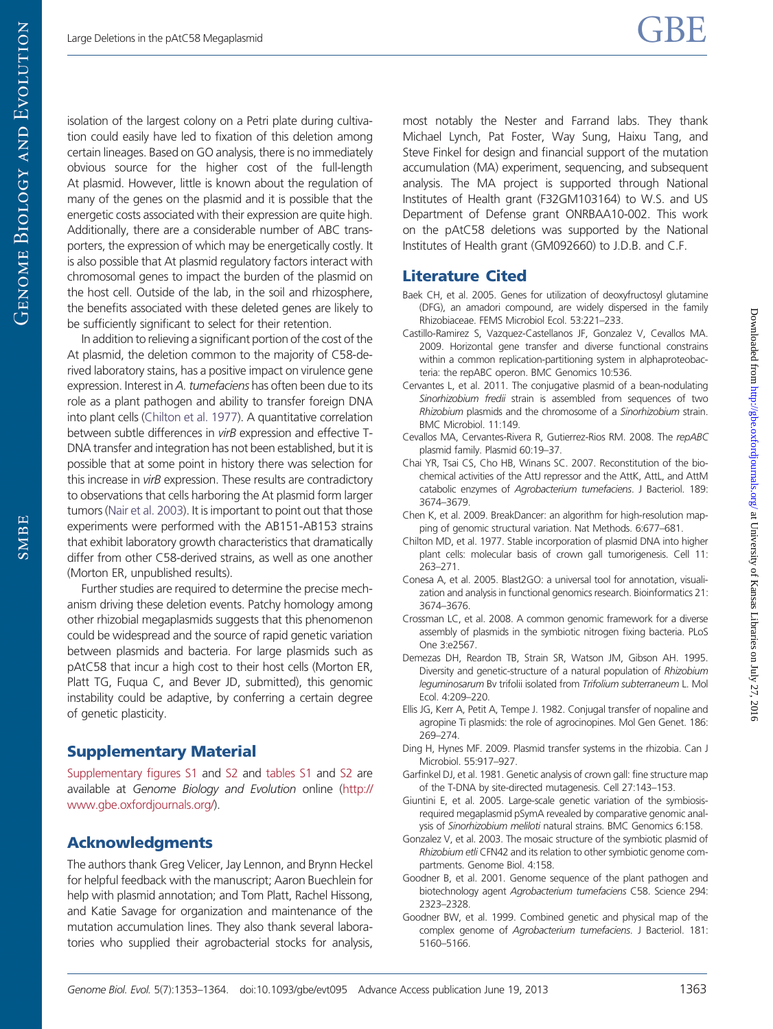<span id="page-10-0"></span>isolation of the largest colony on a Petri plate during cultivation could easily have led to fixation of this deletion among certain lineages. Based on GO analysis, there is no immediately obvious source for the higher cost of the full-length At plasmid. However, little is known about the regulation of many of the genes on the plasmid and it is possible that the energetic costs associated with their expression are quite high. Additionally, there are a considerable number of ABC transporters, the expression of which may be energetically costly. It is also possible that At plasmid regulatory factors interact with chromosomal genes to impact the burden of the plasmid on the host cell. Outside of the lab, in the soil and rhizosphere, the benefits associated with these deleted genes are likely to be sufficiently significant to select for their retention.

In addition to relieving a significant portion of the cost of the At plasmid, the deletion common to the majority of C58-derived laboratory stains, has a positive impact on virulence gene expression. Interest in A. tumefaciens has often been due to its role as a plant pathogen and ability to transfer foreign DNA into plant cells (Chilton et al. 1977). A quantitative correlation between subtle differences in virB expression and effective T-DNA transfer and integration has not been established, but it is possible that at some point in history there was selection for this increase in virB expression. These results are contradictory to observations that cells harboring the At plasmid form larger tumors [\(Nair et al. 2003](#page-11-0)). It is important to point out that those experiments were performed with the AB151-AB153 strains that exhibit laboratory growth characteristics that dramatically differ from other C58-derived strains, as well as one another (Morton ER, unpublished results).

Further studies are required to determine the precise mechanism driving these deletion events. Patchy homology among other rhizobial megaplasmids suggests that this phenomenon could be widespread and the source of rapid genetic variation between plasmids and bacteria. For large plasmids such as pAtC58 that incur a high cost to their host cells (Morton ER, Platt TG, Fuqua C, and Bever JD, submitted), this genomic instability could be adaptive, by conferring a certain degree of genetic plasticity.

# Supplementary Material

[Supplementary figures S1](http://gbe.oxfordjournals.org/lookup/suppl/doi:10.1093/gbe/evt095/-/DC1) and [S2](http://gbe.oxfordjournals.org/lookup/suppl/doi:10.1093/gbe/evt095/-/DC1) and [tables S1](http://gbe.oxfordjournals.org/lookup/suppl/doi:10.1093/gbe/evt095/-/DC1) and [S2](http://gbe.oxfordjournals.org/lookup/suppl/doi:10.1093/gbe/evt095/-/DC1) are available at Genome Biology and Evolution online [\(http://](http://www.gbe.oxfordjournals.org/) [www.gbe.oxfordjournals.org/\)](http://www.gbe.oxfordjournals.org/).

# Acknowledgments

The authors thank Greg Velicer, Jay Lennon, and Brynn Heckel for helpful feedback with the manuscript; Aaron Buechlein for help with plasmid annotation; and Tom Platt, Rachel Hissong, and Katie Savage for organization and maintenance of the mutation accumulation lines. They also thank several laboratories who supplied their agrobacterial stocks for analysis, most notably the Nester and Farrand labs. They thank Michael Lynch, Pat Foster, Way Sung, Haixu Tang, and Steve Finkel for design and financial support of the mutation accumulation (MA) experiment, sequencing, and subsequent analysis. The MA project is supported through National Institutes of Health grant (F32GM103164) to W.S. and US Department of Defense grant ONRBAA10-002. This work on the pAtC58 deletions was supported by the National Institutes of Health grant (GM092660) to J.D.B. and C.F.

# Literature Cited

- Baek CH, et al. 2005. Genes for utilization of deoxyfructosyl glutamine (DFG), an amadori compound, are widely dispersed in the family Rhizobiaceae. FEMS Microbiol Ecol. 53:221–233.
- Castillo-Ramirez S, Vazquez-Castellanos JF, Gonzalez V, Cevallos MA. 2009. Horizontal gene transfer and diverse functional constrains within a common replication-partitioning system in alphaproteobacteria: the repABC operon. BMC Genomics 10:536.
- Cervantes L, et al. 2011. The conjugative plasmid of a bean-nodulating Sinorhizobium fredii strain is assembled from sequences of two Rhizobium plasmids and the chromosome of a Sinorhizobium strain. BMC Microbiol. 11:149.
- Cevallos MA, Cervantes-Rivera R, Gutierrez-Rios RM. 2008. The repABC plasmid family. Plasmid 60:19–37.
- Chai YR, Tsai CS, Cho HB, Winans SC. 2007. Reconstitution of the biochemical activities of the AttJ repressor and the AttK, AttL, and AttM catabolic enzymes of Agrobacterium tumefaciens. J Bacteriol. 189: 3674–3679.
- Chen K, et al. 2009. BreakDancer: an algorithm for high-resolution mapping of genomic structural variation. Nat Methods. 6:677–681.
- Chilton MD, et al. 1977. Stable incorporation of plasmid DNA into higher plant cells: molecular basis of crown gall tumorigenesis. Cell 11: 263–271.
- Conesa A, et al. 2005. Blast2GO: a universal tool for annotation, visualization and analysis in functional genomics research. Bioinformatics 21: 3674–3676.
- Crossman LC, et al. 2008. A common genomic framework for a diverse assembly of plasmids in the symbiotic nitrogen fixing bacteria. PLoS One 3:e2567.
- Demezas DH, Reardon TB, Strain SR, Watson JM, Gibson AH. 1995. Diversity and genetic-structure of a natural population of Rhizobium leguminosarum Bv trifolii isolated from Trifolium subterraneum L. Mol Ecol. 4:209–220.
- Ellis JG, Kerr A, Petit A, Tempe J. 1982. Conjugal transfer of nopaline and agropine Ti plasmids: the role of agrocinopines. Mol Gen Genet. 186: 269–274.
- Ding H, Hynes MF. 2009. Plasmid transfer systems in the rhizobia. Can J Microbiol. 55:917–927.
- Garfinkel DJ, et al. 1981. Genetic analysis of crown gall: fine structure map of the T-DNA by site-directed mutagenesis. Cell 27:143–153.
- Giuntini E, et al. 2005. Large-scale genetic variation of the symbiosisrequired megaplasmid pSymA revealed by comparative genomic analysis of Sinorhizobium meliloti natural strains. BMC Genomics 6:158.
- Gonzalez V, et al. 2003. The mosaic structure of the symbiotic plasmid of Rhizobium etli CFN42 and its relation to other symbiotic genome compartments. Genome Biol. 4:158.
- Goodner B, et al. 2001. Genome sequence of the plant pathogen and biotechnology agent Agrobacterium tumefaciens C58. Science 294: 2323–2328.
- Goodner BW, et al. 1999. Combined genetic and physical map of the complex genome of Agrobacterium tumefaciens. J Bacteriol. 181: 5160–5166.